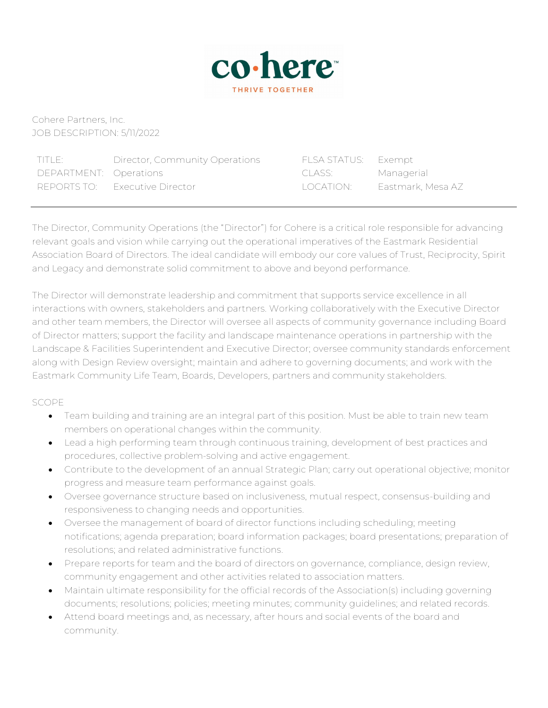

Cohere Partners, Inc. JOB DESCRIPTION: 5/11/2022

| TITLE:                 | Director, Community Operations | FLSA STATUS: Exempt |                   |
|------------------------|--------------------------------|---------------------|-------------------|
| DEPARTMENT: Operations |                                | -CLASS: I           | Managerial        |
| REPORTS TO:            | - Executive Director           | TOCATION: I         | Eastmark, Mesa AZ |

The Director, Community Operations (the "Director") for Cohere is a critical role responsible for advancing relevant goals and vision while carrying out the operational imperatives of the Eastmark Residential Association Board of Directors. The ideal candidate will embody our core values of Trust, Reciprocity, Spirit and Legacy and demonstrate solid commitment to above and beyond performance.

The Director will demonstrate leadership and commitment that supports service excellence in all interactions with owners, stakeholders and partners. Working collaboratively with the Executive Director and other team members, the Director will oversee all aspects of community governance including Board of Director matters; support the facility and landscape maintenance operations in partnership with the Landscape & Facilities Superintendent and Executive Director; oversee community standards enforcement along with Design Review oversight; maintain and adhere to governing documents; and work with the Eastmark Community Life Team, Boards, Developers, partners and community stakeholders.

## SCOPE

- Team building and training are an integral part of this position. Must be able to train new team members on operational changes within the community.
- Lead a high performing team through continuous training, development of best practices and procedures, collective problem-solving and active engagement.
- Contribute to the development of an annual Strategic Plan; carry out operational objective; monitor progress and measure team performance against goals.
- Oversee governance structure based on inclusiveness, mutual respect, consensus-building and responsiveness to changing needs and opportunities.
- Oversee the management of board of director functions including scheduling; meeting notifications; agenda preparation; board information packages; board presentations; preparation of resolutions; and related administrative functions.
- Prepare reports for team and the board of directors on governance, compliance, design review, community engagement and other activities related to association matters.
- Maintain ultimate responsibility for the official records of the Association(s) including governing documents; resolutions; policies; meeting minutes; community guidelines; and related records.
- Attend board meetings and, as necessary, after hours and social events of the board and community.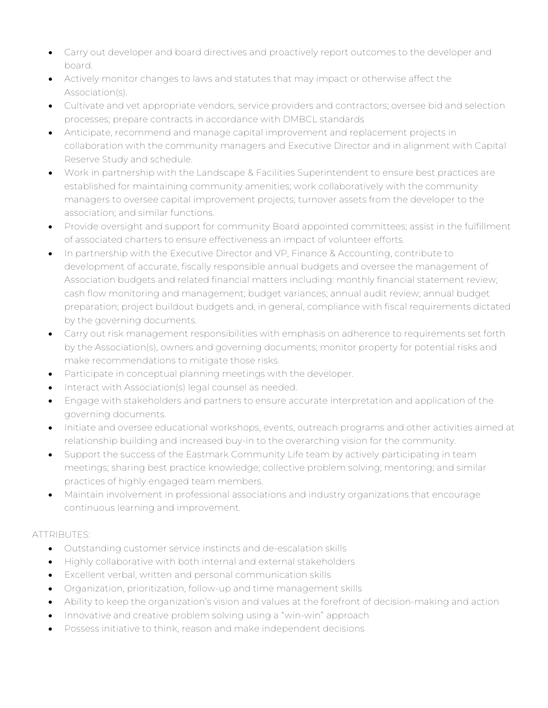- Carry out developer and board directives and proactively report outcomes to the developer and board.
- Actively monitor changes to laws and statutes that may impact or otherwise affect the Association(s).
- Cultivate and vet appropriate vendors, service providers and contractors; oversee bid and selection processes; prepare contracts in accordance with DMBCL standards
- Anticipate, recommend and manage capital improvement and replacement projects in collaboration with the community managers and Executive Director and in alignment with Capital Reserve Study and schedule.
- Work in partnership with the Landscape & Facilities Superintendent to ensure best practices are established for maintaining community amenities; work collaboratively with the community managers to oversee capital improvement projects; turnover assets from the developer to the association; and similar functions.
- Provide oversight and support for community Board appointed committees; assist in the fulfillment of associated charters to ensure effectiveness an impact of volunteer efforts.
- In partnership with the Executive Director and VP, Finance & Accounting, contribute to development of accurate, fiscally responsible annual budgets and oversee the management of Association budgets and related financial matters including: monthly financial statement review; cash flow monitoring and management; budget variances; annual audit review; annual budget preparation; project buildout budgets and, in general, compliance with fiscal requirements dictated by the governing documents.
- Carry out risk management responsibilities with emphasis on adherence to requirements set forth by the Association(s), owners and governing documents; monitor property for potential risks and make recommendations to mitigate those risks.
- Participate in conceptual planning meetings with the developer.
- Interact with Association(s) legal counsel as needed.
- Engage with stakeholders and partners to ensure accurate interpretation and application of the governing documents.
- Initiate and oversee educational workshops, events, outreach programs and other activities aimed at relationship building and increased buy-in to the overarching vision for the community.
- Support the success of the Eastmark Community Life team by actively participating in team meetings; sharing best practice knowledge; collective problem solving; mentoring; and similar practices of highly engaged team members.
- Maintain involvement in professional associations and industry organizations that encourage continuous learning and improvement.

## ATTRIBUTES:

- Outstanding customer service instincts and de-escalation skills
- Highly collaborative with both internal and external stakeholders
- Excellent verbal, written and personal communication skills
- Organization, prioritization, follow-up and time management skills
- Ability to keep the organization's vision and values at the forefront of decision-making and action
- Innovative and creative problem solving using a "win-win" approach
- Possess initiative to think, reason and make independent decisions